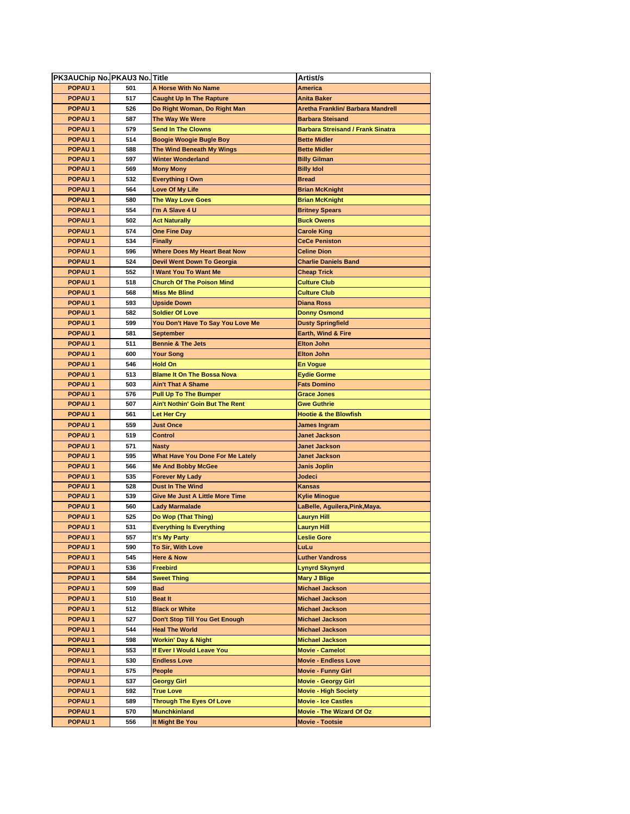| PK3AUChip No. PKAU3 No. Title |     |                                         | Artist/s                                 |
|-------------------------------|-----|-----------------------------------------|------------------------------------------|
| POPAU <sub>1</sub>            | 501 | A Horse With No Name                    | <b>America</b>                           |
| POPAU <sub>1</sub>            | 517 | <b>Caught Up In The Rapture</b>         | <b>Anita Baker</b>                       |
| POPAU <sub>1</sub>            | 526 | Do Right Woman, Do Right Man            | Aretha Franklin/ Barbara Mandrell        |
| <b>POPAU1</b>                 | 587 | The Way We Were                         | <b>Barbara Steisand</b>                  |
| POPAU <sub>1</sub>            | 579 | <b>Send In The Clowns</b>               | <b>Barbara Streisand / Frank Sinatra</b> |
| POPAU <sub>1</sub>            | 514 | Boogie Woogie Bugle Boy                 | <b>Bette Midler</b>                      |
| POPAU <sub>1</sub>            | 588 | The Wind Beneath My Wings               | <b>Bette Midler</b>                      |
| POPAU <sub>1</sub>            | 597 | Winter Wonderland                       | <b>Billy Gilman</b>                      |
| POPAU <sub>1</sub>            | 569 | <b>Mony Mony</b>                        | <b>Billy Idol</b>                        |
| POPAU <sub>1</sub>            | 532 | <b>Everything I Own</b>                 | <b>Bread</b>                             |
| POPAU <sub>1</sub>            | 564 | <b>Love Of My Life</b>                  | <b>Brian McKnight</b>                    |
| POPAU <sub>1</sub>            | 580 | <b>The Way Love Goes</b>                | <b>Brian McKnight</b>                    |
| <b>POPAU1</b>                 | 554 | I'm A Slave 4 U                         | <b>Britney Spears</b>                    |
| POPAU <sub>1</sub>            | 502 | <b>Act Naturally</b>                    | <b>Buck Owens</b>                        |
| POPAU <sub>1</sub>            | 574 | <b>One Fine Day</b>                     | <b>Carole King</b>                       |
| POPAU <sub>1</sub>            | 534 | <b>Finally</b>                          | <b>CeCe Peniston</b>                     |
| POPAU <sub>1</sub>            | 596 | Where Does My Heart Beat Now            | <b>Celine Dion</b>                       |
| POPAU <sub>1</sub>            | 524 | Devil Went Down To Georgia              | <b>Charlie Daniels Band</b>              |
| POPAU <sub>1</sub>            | 552 | I Want You To Want Me                   | <b>Cheap Trick</b>                       |
| POPAU <sub>1</sub>            | 518 | <b>Church Of The Poison Mind</b>        | <b>Culture Club</b>                      |
| POPAU <sub>1</sub>            | 568 | <b>Miss Me Blind</b>                    | <b>Culture Club</b>                      |
| POPAU <sub>1</sub>            | 593 | <b>Upside Down</b>                      | <b>Diana Ross</b>                        |
| POPAU <sub>1</sub>            | 582 | <b>Soldier Of Love</b>                  | <b>Donny Osmond</b>                      |
| <b>POPAU1</b>                 | 599 | You Don't Have To Say You Love Me       | <b>Dusty Springfield</b>                 |
| POPAU <sub>1</sub>            | 581 | September                               | Earth, Wind & Fire                       |
| POPAU <sub>1</sub>            | 511 | <b>Bennie &amp; The Jets</b>            | <b>Elton John</b>                        |
| POPAU <sub>1</sub>            | 600 | <b>Your Song</b>                        | <b>Elton John</b>                        |
| POPAU <sub>1</sub>            | 546 | <b>Hold On</b>                          | <b>En Vogue</b>                          |
| POPAU <sub>1</sub>            | 513 | <b>Blame It On The Bossa Nova</b>       | <b>Eydie Gorme</b>                       |
| POPAU <sub>1</sub>            | 503 | <b>Ain't That A Shame</b>               | <b>Fats Domino</b>                       |
| POPAU <sub>1</sub>            | 576 | <b>Pull Up To The Bumper</b>            | <b>Grace Jones</b>                       |
| POPAU <sub>1</sub>            | 507 | Ain't Nothin' Goin But The Rent         | <b>Gwe Guthrie</b>                       |
| POPAU <sub>1</sub>            | 561 | Let Her Cry                             | <b>Hootie &amp; the Blowfish</b>         |
| <b>POPAU1</b>                 | 559 | Just Once                               | <b>James Ingram</b>                      |
| <b>POPAU1</b>                 | 519 | Control                                 | <b>Janet Jackson</b>                     |
| POPAU <sub>1</sub>            | 571 | <b>Nasty</b>                            | <b>Janet Jackson</b>                     |
| POPAU <sub>1</sub>            | 595 | <b>What Have You Done For Me Lately</b> | <b>Janet Jackson</b>                     |
| <b>POPAU1</b>                 | 566 | <b>Me And Bobby McGee</b>               | Janis Joplin                             |
| POPAU <sub>1</sub>            | 535 | Forever My Lady                         | Jodeci                                   |
| POPAU <sub>1</sub>            | 528 | <b>Dust In The Wind</b>                 | Kansas                                   |
| POPAU <sub>1</sub>            | 539 | <b>Give Me Just A Little More Time</b>  | <b>Kylie Minogue</b>                     |
| POPAU <sub>1</sub>            | 560 | Lady Marmalade                          | LaBelle, Aguilera, Pink, Maya.           |
| <b>POPAU1</b>                 | 525 | Do Wop (That Thing)                     | Lauryn Hill                              |
| <b>POPAU 1</b>                | 531 | <b>Everything Is Everything</b>         | <b>Lauryn Hill</b>                       |
| POPAU 1                       | 557 | It's My Party                           | <b>Leslie Gore</b>                       |
| POPAU <sub>1</sub>            | 590 | To Sir, With Love                       | LuLu                                     |
| <b>POPAU1</b>                 | 545 | Here & Now                              | <b>Luther Vandross</b>                   |
| POPAU <sub>1</sub>            | 536 | Freebird                                | <b>Lynyrd Skynyrd</b>                    |
| POPAU <sub>1</sub>            | 584 | <b>Sweet Thing</b>                      | <b>Mary J Blige</b>                      |
| POPAU <sub>1</sub>            | 509 | Bad                                     | <b>Michael Jackson</b>                   |
| POPAU <sub>1</sub>            | 510 | <b>Beat It</b>                          | <b>Michael Jackson</b>                   |
| POPAU <sub>1</sub>            | 512 | <b>Black or White</b>                   | <b>Michael Jackson</b>                   |
| <b>POPAU1</b>                 | 527 | Don't Stop Till You Get Enough          | <b>Michael Jackson</b>                   |
| <b>POPAU1</b>                 | 544 | <b>Heal The World</b>                   | <b>Michael Jackson</b>                   |
| POPAU <sub>1</sub>            | 598 | <b>Workin' Day &amp; Night</b>          | <b>Michael Jackson</b>                   |
| POPAU <sub>1</sub>            | 553 | If Ever I Would Leave You               | <b>Movie - Camelot</b>                   |
| POPAU <sub>1</sub>            | 530 | <b>Endless Love</b>                     | <b>Movie - Endless Love</b>              |
| <b>POPAU1</b>                 | 575 | People                                  | <b>Movie - Funny Girl</b>                |
| <b>POPAU1</b>                 | 537 | Georgy Girl                             | <b>Movie - Georgy Girl</b>               |
| POPAU <sub>1</sub>            | 592 | <b>True Love</b>                        | <b>Movie - High Society</b>              |
| <b>POPAU1</b>                 | 589 | <b>Through The Eyes Of Love</b>         | <b>Movie - Ice Castles</b>               |
| POPAU <sub>1</sub>            | 570 | <b>Munchkinland</b>                     | <b>Movie - The Wizard Of Oz</b>          |
| POPAU <sub>1</sub>            | 556 | It Might Be You                         | <b>Movie - Tootsie</b>                   |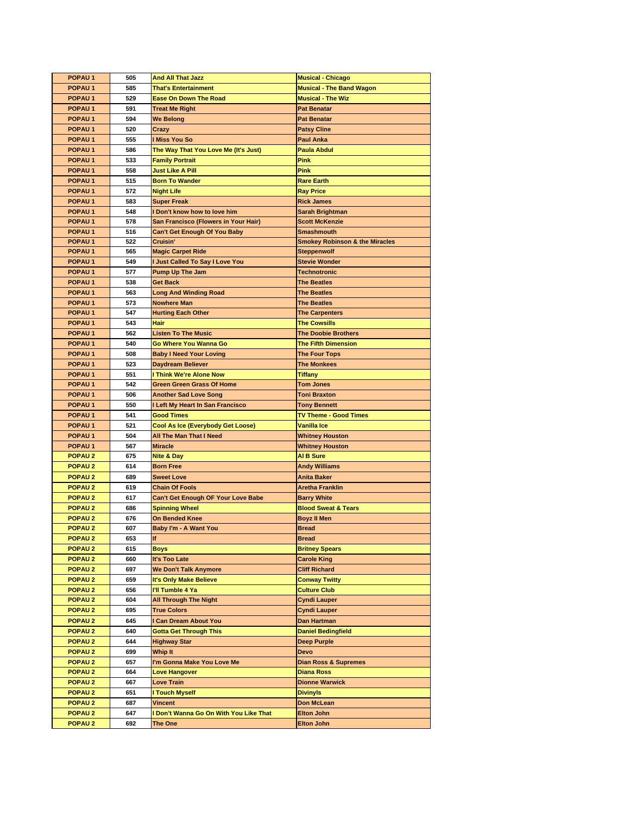| POPAU <sub>1</sub> | 505 | <b>And All That Jazz</b>             | <b>Musical - Chicago</b>                  |
|--------------------|-----|--------------------------------------|-------------------------------------------|
| POPAU <sub>1</sub> | 585 | <b>That's Entertainment</b>          | <b>Musical - The Band Wagon</b>           |
| <b>POPAU1</b>      | 529 | <b>Ease On Down The Road</b>         | <b>Musical - The Wiz</b>                  |
| POPAU <sub>1</sub> | 591 | <b>Treat Me Right</b>                | <b>Pat Benatar</b>                        |
| POPAU <sub>1</sub> | 594 | <b>We Belong</b>                     | <b>Pat Benatar</b>                        |
| POPAU <sub>1</sub> | 520 | Crazy                                | <b>Patsy Cline</b>                        |
| POPAU <sub>1</sub> | 555 | I Miss You So                        | <b>Paul Anka</b>                          |
| POPAU <sub>1</sub> | 586 | The Way That You Love Me (It's Just) | <b>Paula Abdul</b>                        |
| POPAU <sub>1</sub> | 533 | <b>Family Portrait</b>               | <b>Pink</b>                               |
| POPAU <sub>1</sub> | 558 | <b>Just Like A Pill</b>              | <b>Pink</b>                               |
| POPAU <sub>1</sub> | 515 | <b>Born To Wander</b>                | <b>Rare Earth</b>                         |
| <b>POPAU1</b>      | 572 | <b>Night Life</b>                    | <b>Ray Price</b>                          |
| POPAU <sub>1</sub> | 583 | <b>Super Freak</b>                   | <b>Rick James</b>                         |
| POPAU <sub>1</sub> | 548 | I Don't know how to love him         | Sarah Brightman                           |
| POPAU <sub>1</sub> | 578 | San Francisco (Flowers in Your Hair) | <b>Scott McKenzie</b>                     |
| POPAU <sub>1</sub> | 516 | <b>Can't Get Enough Of You Baby</b>  | <b>Smashmouth</b>                         |
| POPAU <sub>1</sub> | 522 | Cruisin'                             | <b>Smokey Robinson &amp; the Miracles</b> |
| <b>POPAU1</b>      | 565 | <b>Magic Carpet Ride</b>             | <b>Steppenwolf</b>                        |
| POPAU <sub>1</sub> | 549 | I Just Called To Say I Love You      | <b>Stevie Wonder</b>                      |
| POPAU <sub>1</sub> | 577 | <b>Pump Up The Jam</b>               | <b>Technotronic</b>                       |
| POPAU <sub>1</sub> | 538 | Get Back                             | <b>The Beatles</b>                        |
| <b>POPAU1</b>      | 563 | <b>Long And Winding Road</b>         | <b>The Beatles</b>                        |
| POPAU <sub>1</sub> | 573 | <b>Nowhere Man</b>                   | <b>The Beatles</b>                        |
| <b>POPAU1</b>      | 547 | <b>Hurting Each Other</b>            | <b>The Carpenters</b>                     |
| POPAU <sub>1</sub> | 543 | <b>Hair</b>                          | <b>The Cowsills</b>                       |
| POPAU <sub>1</sub> | 562 | <b>Listen To The Music</b>           | <b>The Doobie Brothers</b>                |
| POPAU <sub>1</sub> | 540 | Go Where You Wanna Go                | <b>The Fifth Dimension</b>                |
| POPAU <sub>1</sub> | 508 | <b>Baby I Need Your Loving</b>       | <b>The Four Tops</b>                      |
| POPAU <sub>1</sub> | 523 | Daydream Believer                    | <b>The Monkees</b>                        |
| POPAU <sub>1</sub> | 551 | <b>Think We're Alone Now</b>         | <b>Tiffany</b>                            |
| POPAU <sub>1</sub> | 542 | <b>Green Green Grass Of Home</b>     | <b>Tom Jones</b>                          |
| <b>POPAU1</b>      | 506 | <b>Another Sad Love Song</b>         | <b>Toni Braxton</b>                       |
| POPAU <sub>1</sub> | 550 | I Left My Heart In San Francisco     | <b>Tony Bennett</b>                       |
| POPAU <sub>1</sub> | 541 | <b>Good Times</b>                    | <b>TV Theme - Good Times</b>              |
| <b>POPAU1</b>      | 521 | Cool As Ice (Everybody Get Loose)    | Vanilla Ice                               |
| POPAU <sub>1</sub> | 504 | All The Man That I Need              | <b>Whitney Houston</b>                    |
| POPAU <sub>1</sub> | 567 | <b>Miracle</b>                       | <b>Whitney Houston</b>                    |
| <b>POPAU2</b>      | 675 | Nite & Day                           | <b>AI B Sure</b>                          |
| <b>POPAU2</b>      | 614 | <b>Born Free</b>                     | <b>Andy Williams</b>                      |
| <b>POPAU2</b>      | 689 | <b>Sweet Love</b>                    | <b>Anita Baker</b>                        |
| <b>POPAU2</b>      | 619 | <b>Chain Of Fools</b>                | <b>Aretha Franklin</b>                    |
| <b>POPAU2</b>      | 617 | Can't Get Enough OF Your Love Babe   | <b>Barry White</b>                        |
| <b>POPAU2</b>      | 686 | <b>Spinning Wheel</b>                | <b>Blood Sweat &amp; Tears</b>            |
| <b>POPAU2</b>      | 676 | On Bended Knee                       | <b>Boyz II Men</b>                        |
| <b>POPAU2</b>      | 607 | <b>Baby I'm - A Want You</b>         | <b>Bread</b>                              |
| <b>POPAU2</b>      | 653 | If                                   | <b>Bread</b>                              |
| <b>POPAU2</b>      | 615 | <b>Boys</b>                          | <b>Britney Spears</b>                     |
| <b>POPAU2</b>      | 660 | It's Too Late                        | <b>Carole King</b>                        |
| POPAU <sub>2</sub> | 697 | <b>We Don't Talk Anymore</b>         | <b>Cliff Richard</b>                      |
| <b>POPAU2</b>      | 659 | It's Only Make Believe               | <b>Conway Twitty</b>                      |
| <b>POPAU2</b>      | 656 | I'll Tumble 4 Ya                     | <b>Culture Club</b>                       |
| <b>POPAU2</b>      | 604 | <b>All Through The Night</b>         | <b>Cyndi Lauper</b>                       |
| <b>POPAU2</b>      | 695 | <b>True Colors</b>                   | <b>Cyndi Lauper</b>                       |
| <b>POPAU2</b>      | 645 | I Can Dream About You                | Dan Hartman                               |
| <b>POPAU2</b>      | 640 | <b>Gotta Get Through This</b>        | <b>Daniel Bedingfield</b>                 |
| <b>POPAU2</b>      | 644 | <b>Highway Star</b>                  | <b>Deep Purple</b>                        |
| <b>POPAU2</b>      | 699 | Whip It                              | <b>Devo</b>                               |
| <b>POPAU2</b>      | 657 | I'm Gonna Make You Love Me           | <b>Dian Ross &amp; Supremes</b>           |
| <b>POPAU2</b>      | 664 | <b>Love Hangover</b>                 | <b>Diana Ross</b>                         |
| <b>POPAU2</b>      | 667 | Love Train                           | <b>Dionne Warwick</b>                     |
| <b>POPAU2</b>      | 651 | I Touch Myself                       | <b>Divinyls</b>                           |
| <b>POPAU2</b>      | 687 | <b>Vincent</b>                       | Don McLean                                |
| POPAU <sub>2</sub> | 647 | Don't Wanna Go On With You Like That | <b>Elton John</b>                         |
| <b>POPAU2</b>      | 692 | The One                              | <b>Elton John</b>                         |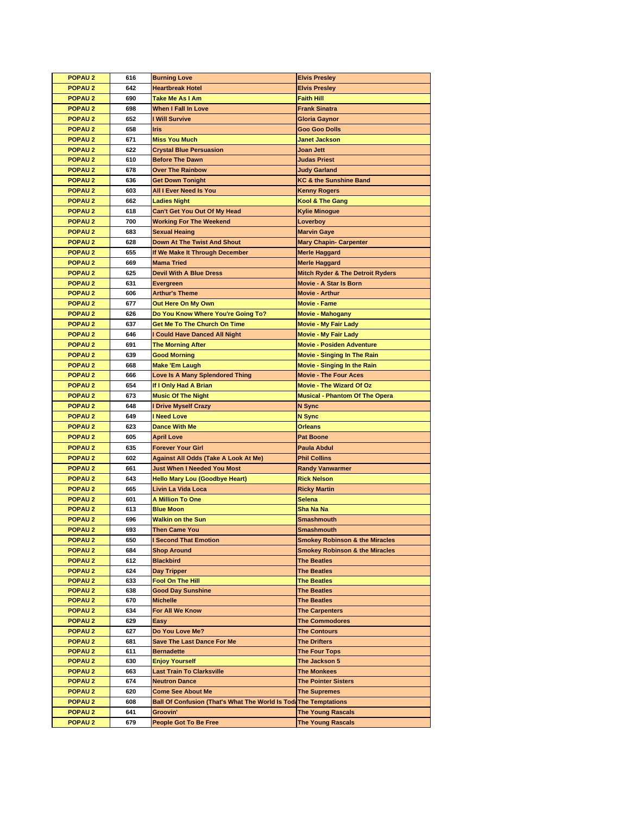| <b>POPAU2</b>      | 616 | <b>Burning Love</b>                                                     | <b>Elvis Presley</b>                        |
|--------------------|-----|-------------------------------------------------------------------------|---------------------------------------------|
| <b>POPAU2</b>      | 642 | <b>Heartbreak Hotel</b>                                                 | <b>Elvis Presley</b>                        |
| <b>POPAU2</b>      | 690 | Take Me As I Am                                                         | <b>Faith Hill</b>                           |
| <b>POPAU2</b>      | 698 | When I Fall In Love                                                     | <b>Frank Sinatra</b>                        |
| <b>POPAU2</b>      | 652 | I Will Survive                                                          | Gloria Gaynor                               |
| <b>POPAU2</b>      | 658 | <b>Iris</b>                                                             | <b>Goo Goo Dolls</b>                        |
| <b>POPAU2</b>      | 671 | <b>Miss You Much</b>                                                    | <b>Janet Jackson</b>                        |
| <b>POPAU2</b>      | 622 | <b>Crystal Blue Persuasion</b>                                          | Joan Jett                                   |
| <b>POPAU2</b>      | 610 | <b>Before The Dawn</b>                                                  | <b>Judas Priest</b>                         |
| POPAU <sub>2</sub> | 678 | <b>Over The Rainbow</b>                                                 | <b>Judy Garland</b>                         |
| <b>POPAU2</b>      | 636 | <b>Get Down Tonight</b>                                                 | <b>KC &amp; the Sunshine Band</b>           |
| <b>POPAU2</b>      | 603 | All I Ever Need Is You                                                  | <b>Kenny Rogers</b>                         |
| POPAU <sub>2</sub> | 662 | <b>Ladies Night</b>                                                     | Kool & The Gang                             |
| <b>POPAU2</b>      | 618 | Can't Get You Out Of My Head                                            | <b>Kylie Minogue</b>                        |
| <b>POPAU2</b>      | 700 | <b>Working For The Weekend</b>                                          | Loverboy                                    |
| <b>POPAU2</b>      | 683 | <b>Sexual Heaing</b>                                                    | <b>Marvin Gaye</b>                          |
| <b>POPAU2</b>      | 628 | <b>Down At The Twist And Shout</b>                                      |                                             |
|                    | 655 |                                                                         | <b>Mary Chapin- Carpenter</b>               |
| <b>POPAU2</b>      | 669 | If We Make It Through December                                          | <b>Merle Haggard</b>                        |
| <b>POPAU2</b>      |     | <b>Mama Tried</b>                                                       | <b>Merle Haggard</b>                        |
| <b>POPAU2</b>      | 625 | <b>Devil With A Blue Dress</b>                                          | <b>Mitch Ryder &amp; The Detroit Ryders</b> |
| <b>POPAU2</b>      | 631 | Evergreen                                                               | Movie - A Star Is Born                      |
| <b>POPAU2</b>      | 606 | <b>Arthur's Theme</b>                                                   | <b>Movie - Arthur</b>                       |
| <b>POPAU2</b>      | 677 | Out Here On My Own                                                      | <b>Movie - Fame</b>                         |
| <b>POPAU2</b>      | 626 | Do You Know Where You're Going To?                                      | <b>Movie - Mahogany</b>                     |
| POPAU <sub>2</sub> | 637 | <b>Get Me To The Church On Time</b>                                     | <b>Movie - My Fair Lady</b>                 |
| <b>POPAU2</b>      | 646 | I Could Have Danced All Night                                           | <b>Movie - My Fair Lady</b>                 |
| <b>POPAU2</b>      | 691 | <b>The Morning After</b>                                                | <b>Movie - Posiden Adventure</b>            |
| <b>POPAU2</b>      | 639 | <b>Good Morning</b>                                                     | <b>Movie - Singing In The Rain</b>          |
| <b>POPAU2</b>      | 668 | <b>Make 'Em Laugh</b>                                                   | <b>Movie - Singing In the Rain</b>          |
| <b>POPAU2</b>      | 666 | Love Is A Many Splendored Thing                                         | <b>Movie - The Four Aces</b>                |
| <b>POPAU2</b>      | 654 | If I Only Had A Brian                                                   | <b>Movie - The Wizard Of Oz</b>             |
| <b>POPAU2</b>      | 673 | <b>Music Of The Night</b>                                               | <b>Musical - Phantom Of The Opera</b>       |
|                    |     |                                                                         |                                             |
| <b>POPAU2</b>      | 648 | I Drive Myself Crazy                                                    | <b>N</b> Sync                               |
| <b>POPAU2</b>      | 649 | <b>I Need Love</b>                                                      | N Sync                                      |
| <b>POPAU2</b>      | 623 | <b>Dance With Me</b>                                                    | <b>Orleans</b>                              |
| <b>POPAU2</b>      | 605 | <b>April Love</b>                                                       | <b>Pat Boone</b>                            |
| POPAU <sub>2</sub> | 635 | <b>Forever Your Girl</b>                                                | <b>Paula Abdul</b>                          |
| <b>POPAU2</b>      | 602 | <b>Against All Odds (Take A Look At Me)</b>                             | <b>Phil Collins</b>                         |
| <b>POPAU2</b>      | 661 | Just When I Needed You Most                                             | <b>Randy Vanwarmer</b>                      |
| <b>POPAU2</b>      | 643 | <b>Hello Mary Lou (Goodbye Heart)</b>                                   | <b>Rick Nelson</b>                          |
| <b>POPAU2</b>      | 665 | Livin La Vida Loca                                                      | <b>Ricky Martin</b>                         |
| POPAU <sub>2</sub> | 601 | <b>A Million To One</b>                                                 | <b>Selena</b>                               |
| POPAU <sub>2</sub> | 613 | <b>Blue Moon</b>                                                        | Sha Na Na                                   |
| <b>POPAU2</b>      | 696 | <b>Walkin on the Sun</b>                                                | <b>Smashmouth</b>                           |
| <b>POPAU2</b>      | 693 | <b>Then Came You</b>                                                    | Smashmouth                                  |
| <b>POPAU2</b>      | 650 | <b>I Second That Emotion</b>                                            | <b>Smokey Robinson &amp; the Miracles</b>   |
| <b>POPAU2</b>      | 684 | <b>Shop Around</b>                                                      | <b>Smokey Robinson &amp; the Miracles</b>   |
| <b>POPAU2</b>      | 612 | <b>Blackbird</b>                                                        | <b>The Beatles</b>                          |
| POPAU <sub>2</sub> | 624 | Day Tripper                                                             | <b>The Beatles</b>                          |
| POPAU <sub>2</sub> | 633 | Fool On The Hill                                                        | <b>The Beatles</b>                          |
| <b>POPAU2</b>      | 638 | <b>Good Day Sunshine</b>                                                | <b>The Beatles</b>                          |
| <b>POPAU2</b>      | 670 | <b>Michelle</b>                                                         | <b>The Beatles</b>                          |
| <b>POPAU2</b>      | 634 | For All We Know                                                         | <b>The Carpenters</b>                       |
| <b>POPAU2</b>      | 629 | Easy                                                                    | <b>The Commodores</b>                       |
| <b>POPAU2</b>      | 627 | Do You Love Me?                                                         | <b>The Contours</b>                         |
| <b>POPAU2</b>      | 681 | <b>Save The Last Dance For Me</b>                                       | <b>The Drifters</b>                         |
| <b>POPAU2</b>      | 611 | <b>Bernadette</b>                                                       | <b>The Four Tops</b>                        |
| <b>POPAU2</b>      | 630 | <b>Enjoy Yourself</b>                                                   | The Jackson 5                               |
| <b>POPAU2</b>      | 663 | <b>Last Train To Clarksville</b>                                        | <b>The Monkees</b>                          |
| <b>POPAU2</b>      | 674 | <b>Neutron Dance</b>                                                    | <b>The Pointer Sisters</b>                  |
| <b>POPAU2</b>      | 620 | <b>Come See About Me</b>                                                | <b>The Supremes</b>                         |
| <b>POPAU2</b>      | 608 | <b>Ball Of Confusion (That's What The World Is Toda The Temptations</b> |                                             |
| <b>POPAU2</b>      | 641 | Groovin'                                                                | <b>The Young Rascals</b>                    |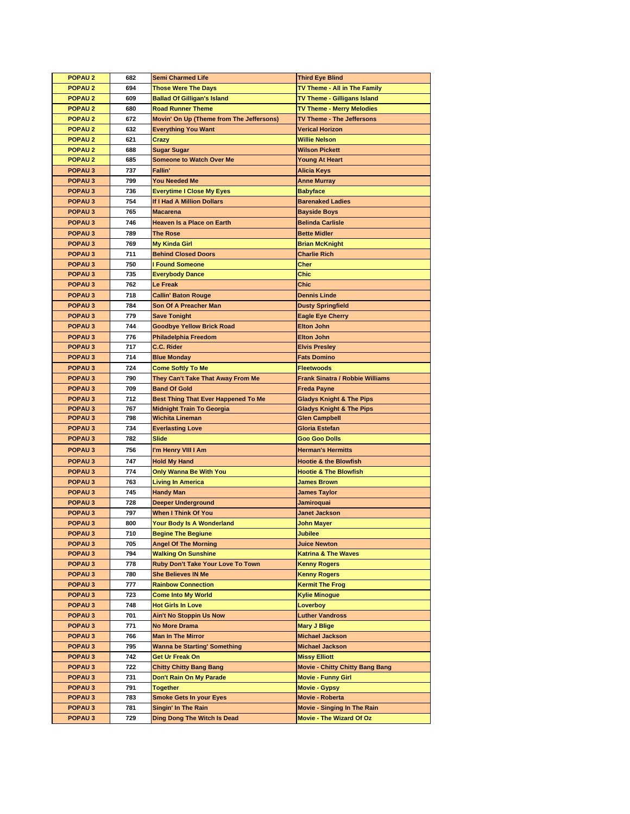| <b>POPAU2</b>      | 682 | <b>Semi Charmed Life</b>                   | <b>Third Eye Blind</b>                 |
|--------------------|-----|--------------------------------------------|----------------------------------------|
| POPAU <sub>2</sub> | 694 | <b>Those Were The Days</b>                 | TV Theme - All in The Family           |
| <b>POPAU2</b>      | 609 | <b>Ballad Of Gilligan's Island</b>         | TV Theme - Gilligans Island            |
| POPAU <sub>2</sub> | 680 | <b>Road Runner Theme</b>                   | <b>TV Theme - Merry Melodies</b>       |
| POPAU <sub>2</sub> | 672 | Movin' On Up (Theme from The Jeffersons)   | TV Theme - The Jeffersons              |
| POPAU <sub>2</sub> | 632 | <b>Everything You Want</b>                 | <b>Verical Horizon</b>                 |
| POPAU <sub>2</sub> | 621 | Crazy                                      | Willie Nelson                          |
| POPAU <sub>2</sub> | 688 | <b>Sugar Sugar</b>                         | <b>Wilson Pickett</b>                  |
| POPAU <sub>2</sub> | 685 | <b>Someone to Watch Over Me</b>            | <b>Young At Heart</b>                  |
| POPAU <sub>3</sub> | 737 | Fallin'                                    | Alicia Keys                            |
| POPAU <sub>3</sub> | 799 | <b>You Needed Me</b>                       | <b>Anne Murray</b>                     |
| POPAU <sub>3</sub> | 736 | <b>Everytime I Close My Eyes</b>           | <b>Babyface</b>                        |
| POPAU <sub>3</sub> | 754 | If I Had A Million Dollars                 |                                        |
|                    |     | <b>Macarena</b>                            | <b>Barenaked Ladies</b>                |
| POPAU <sub>3</sub> | 765 |                                            | <b>Bayside Boys</b>                    |
| POPAU <sub>3</sub> | 746 | <b>Heaven Is a Place on Earth</b>          | <b>Belinda Carlisle</b>                |
| POPAU <sub>3</sub> | 789 | <b>The Rose</b>                            | <b>Bette Midler</b>                    |
| POPAU <sub>3</sub> | 769 | <b>My Kinda Girl</b>                       | <b>Brian McKnight</b>                  |
| POPAU <sub>3</sub> | 711 | <b>Behind Closed Doors</b>                 | <b>Charlie Rich</b>                    |
| POPAU <sub>3</sub> | 750 | <b>I Found Someone</b>                     | <b>Cher</b>                            |
| POPAU <sub>3</sub> | 735 | <b>Everybody Dance</b>                     | Chic                                   |
| POPAU <sub>3</sub> | 762 | Le Freak                                   | Chic                                   |
| POPAU <sub>3</sub> | 718 | <b>Callin' Baton Rouge</b>                 | <b>Dennis Linde</b>                    |
| POPAU <sub>3</sub> | 784 | Son Of A Preacher Man                      | <b>Dusty Springfield</b>               |
| POPAU <sub>3</sub> | 779 | <b>Save Tonight</b>                        | <b>Eagle Eye Cherry</b>                |
| POPAU <sub>3</sub> | 744 | <b>Goodbye Yellow Brick Road</b>           | <b>Elton John</b>                      |
| POPAU <sub>3</sub> | 776 | <b>Philadelphia Freedom</b>                | <b>Elton John</b>                      |
| POPAU <sub>3</sub> | 717 | C.C. Rider                                 | <b>Elvis Presley</b>                   |
| POPAU <sub>3</sub> | 714 | <b>Blue Monday</b>                         | <b>Fats Domino</b>                     |
| POPAU <sub>3</sub> | 724 | <b>Come Softly To Me</b>                   | <b>Fleetwoods</b>                      |
| POPAU <sub>3</sub> | 790 | They Can't Take That Away From Me          | <b>Frank Sinatra / Robbie Williams</b> |
| POPAU <sub>3</sub> | 709 | <b>Band Of Gold</b>                        | <b>Freda Payne</b>                     |
| POPAU <sub>3</sub> | 712 | <b>Best Thing That Ever Happened To Me</b> | <b>Gladys Knight &amp; The Pips</b>    |
| POPAU <sub>3</sub> | 767 | <b>Midnight Train To Georgia</b>           | <b>Gladys Knight &amp; The Pips</b>    |
| POPAU <sub>3</sub> | 798 | <b>Wichita Lineman</b>                     | <b>Glen Campbell</b>                   |
| POPAU <sub>3</sub> | 734 | <b>Everlasting Love</b>                    | Gloria Estefan                         |
| POPAU <sub>3</sub> | 782 | Slide                                      | <b>Goo Goo Dolls</b>                   |
| POPAU <sub>3</sub> | 756 | I'm Henry VIII I Am                        | <b>Herman's Hermitts</b>               |
| POPAU <sub>3</sub> | 747 | <b>Hold My Hand</b>                        | <b>Hootie &amp; the Blowfish</b>       |
| <b>POPAU3</b>      | 774 | <b>Only Wanna Be With You</b>              | <b>Hootie &amp; The Blowfish</b>       |
| POPAU <sub>3</sub> | 763 | <b>Living In America</b>                   | <b>James Brown</b>                     |
| POPAU <sub>3</sub> | 745 | <b>Handy Man</b>                           | <b>James Taylor</b>                    |
| POPAU <sub>3</sub> | 728 | <b>Deeper Underground</b>                  | Jamiroquai                             |
| POPAU <sub>3</sub> | 797 | <b>When I Think Of You</b>                 | Janet Jackson                          |
| POPAU <sub>3</sub> | 800 | Your Body Is A Wonderland                  | John Mayer                             |
| POPAU <sub>3</sub> | 710 | <b>Begine The Begiune</b>                  | Jubilee                                |
| POPAU <sub>3</sub> | 705 | <b>Angel Of The Morning</b>                | <b>Juice Newton</b>                    |
| POPAU <sub>3</sub> | 794 | <b>Walking On Sunshine</b>                 | <b>Katrina &amp; The Waves</b>         |
| POPAU <sub>3</sub> | 778 | Ruby Don't Take Your Love To Town          | <b>Kenny Rogers</b>                    |
| POPAU <sub>3</sub> | 780 | <b>She Believes IN Me</b>                  | <b>Kenny Rogers</b>                    |
| POPAU <sub>3</sub> | 777 | <b>Rainbow Connection</b>                  | <b>Kermit The Frog</b>                 |
| POPAU <sub>3</sub> | 723 | <b>Come Into My World</b>                  | <b>Kylie Minogue</b>                   |
| POPAU <sub>3</sub> | 748 | <b>Hot Girls In Love</b>                   | Loverboy                               |
| POPAU <sub>3</sub> | 701 | <b>Ain't No Stoppin Us Now</b>             | <b>Luther Vandross</b>                 |
| POPAU <sub>3</sub> | 771 | <b>No More Drama</b>                       | <b>Mary J Blige</b>                    |
| POPAU <sub>3</sub> | 766 | <b>Man In The Mirror</b>                   | <b>Michael Jackson</b>                 |
|                    |     |                                            |                                        |
| POPAU <sub>3</sub> | 795 | <b>Wanna be Starting' Something</b>        | <b>Michael Jackson</b>                 |
| POPAU <sub>3</sub> | 742 | Get Ur Freak On                            | <b>Missy Elliott</b>                   |
| POPAU <sub>3</sub> | 722 | <b>Chitty Chitty Bang Bang</b>             | <b>Movie - Chitty Chitty Bang Bang</b> |
| POPAU <sub>3</sub> | 731 | Don't Rain On My Parade                    | <b>Movie - Funny Girl</b>              |
| POPAU <sub>3</sub> | 791 | <b>Together</b>                            | <b>Movie - Gypsy</b>                   |
| POPAU <sub>3</sub> | 783 | <b>Smoke Gets In your Eyes</b>             | Movie - Roberta                        |
| POPAU <sub>3</sub> | 781 | Singin' In The Rain                        | <b>Movie - Singing In The Rain</b>     |
| POPAU <sub>3</sub> | 729 | Ding Dong The Witch Is Dead                | <b>Movie - The Wizard Of Oz</b>        |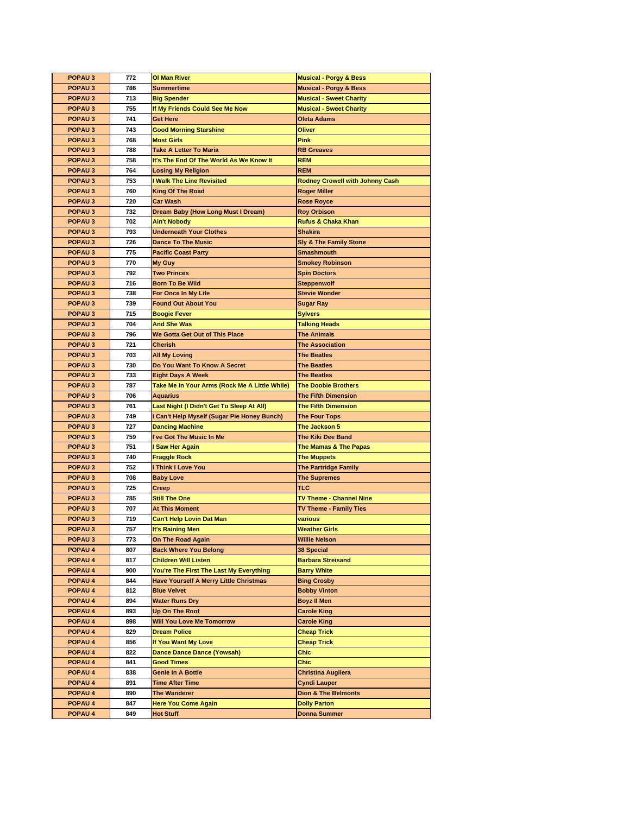| <b>POPAU3</b>                            | 772        | <b>OI Man River</b>                           | <b>Musical - Porgy &amp; Bess</b>          |
|------------------------------------------|------------|-----------------------------------------------|--------------------------------------------|
| POPAU <sub>3</sub>                       | 786        | <b>Summertime</b>                             | <b>Musical - Porgy &amp; Bess</b>          |
| <b>POPAU3</b>                            | 713        | <b>Big Spender</b>                            | <b>Musical - Sweet Charity</b>             |
| POPAU <sub>3</sub>                       | 755        | If My Friends Could See Me Now                | <b>Musical - Sweet Charity</b>             |
| POPAU <sub>3</sub>                       | 741        | <b>Get Here</b>                               | <b>Oleta Adams</b>                         |
| <b>POPAU3</b>                            | 743        | <b>Good Morning Starshine</b>                 | Oliver                                     |
| POPAU <sub>3</sub>                       | 768        | <b>Most Girls</b>                             | Pink                                       |
| POPAU <sub>3</sub>                       | 788        | <b>Take A Letter To Maria</b>                 | <b>RB</b> Greaves                          |
| <b>POPAU3</b>                            | 758        | It's The End Of The World As We Know It       | <b>REM</b>                                 |
| POPAU <sub>3</sub>                       | 764        | <b>Losing My Religion</b>                     | <b>REM</b>                                 |
| POPAU <sub>3</sub>                       | 753        | I Walk The Line Revisited                     | <b>Rodney Crowell with Johnny Cash</b>     |
| <b>POPAU3</b>                            | 760        | <b>King Of The Road</b>                       | <b>Roger Miller</b>                        |
| POPAU <sub>3</sub>                       | 720        | Car Wash                                      | <b>Rose Royce</b>                          |
| POPAU <sub>3</sub>                       | 732        | Dream Baby (How Long Must I Dream)            | <b>Roy Orbison</b>                         |
| POPAU <sub>3</sub>                       | 702        | <b>Ain't Nobody</b>                           | <b>Rufus &amp; Chaka Khan</b>              |
| POPAU <sub>3</sub>                       | 793        | <b>Underneath Your Clothes</b>                | <b>Shakira</b>                             |
| POPAU <sub>3</sub>                       | 726        | <b>Dance To The Music</b>                     | <b>Sly &amp; The Family Stone</b>          |
| POPAU <sub>3</sub>                       | 775        | <b>Pacific Coast Party</b>                    | <b>Smashmouth</b>                          |
|                                          | 770        |                                               |                                            |
| POPAU <sub>3</sub><br><b>POPAU3</b>      | 792        | My Guy<br><b>Two Princes</b>                  | <b>Smokey Robinson</b>                     |
|                                          |            |                                               | <b>Spin Doctors</b>                        |
| POPAU <sub>3</sub>                       | 716        | <b>Born To Be Wild</b>                        | <b>Steppenwolf</b><br><b>Stevie Wonder</b> |
| POPAU <sub>3</sub>                       | 738        | For Once In My Life                           |                                            |
| <b>POPAU3</b>                            | 739        | <b>Found Out About You</b>                    | <b>Sugar Ray</b>                           |
| POPAU <sub>3</sub><br>POPAU <sub>3</sub> | 715        | <b>Boogie Fever</b>                           | <b>Sylvers</b>                             |
|                                          | 704        | <b>And She Was</b>                            | <b>Talking Heads</b>                       |
| POPAU <sub>3</sub>                       | 796        | We Gotta Get Out of This Place                | <b>The Animals</b>                         |
| POPAU <sub>3</sub>                       | 721        | Cherish                                       | <b>The Association</b>                     |
| POPAU <sub>3</sub>                       | 703        | <b>All My Loving</b>                          | <b>The Beatles</b>                         |
| POPAU <sub>3</sub>                       | 730        | Do You Want To Know A Secret                  | <b>The Beatles</b>                         |
| POPAU <sub>3</sub>                       | 733        | <b>Eight Days A Week</b>                      | <b>The Beatles</b>                         |
| <b>POPAU3</b>                            | 787        | Take Me In Your Arms (Rock Me A Little While) | <b>The Doobie Brothers</b>                 |
| POPAU <sub>3</sub>                       | 706        | <b>Aquarius</b>                               | <b>The Fifth Dimension</b>                 |
| POPAU <sub>3</sub>                       | 761        | Last Night (I Didn't Get To Sleep At All)     | <b>The Fifth Dimension</b>                 |
| <b>POPAU3</b>                            | 749        | I Can't Help Myself (Sugar Pie Honey Bunch)   | <b>The Four Tops</b>                       |
| POPAU <sub>3</sub>                       | 727        | <b>Dancing Machine</b>                        | The Jackson 5                              |
| POPAU <sub>3</sub>                       | 759        | I've Got The Music In Me                      | <b>The Kiki Dee Band</b>                   |
| <b>POPAU3</b>                            | 751<br>740 | I Saw Her Again                               | The Mamas & The Papas                      |
| POPAU <sub>3</sub>                       |            | <b>Fraggle Rock</b>                           | <b>The Muppets</b>                         |
| POPAU <sub>3</sub>                       | 752        | I Think I Love You                            | <b>The Partridge Family</b>                |
| POPAU <sub>3</sub>                       | 708        | <b>Baby Love</b>                              | <b>The Supremes</b>                        |
| POPAU <sub>3</sub>                       | 725        | Creep                                         | TLC                                        |
| POPAU <sub>3</sub>                       | 785        | <b>Still The One</b>                          | <b>TV Theme - Channel Nine</b>             |
| <b>POPAU3</b>                            | 707        | <b>At This Moment</b>                         | TV Theme - Family Ties                     |
| POPAU <sub>3</sub>                       | 719        | <b>Can't Help Lovin Dat Man</b>               | various                                    |
| <b>POPAU3</b>                            | 757        | It's Raining Men                              | <b>Weather Girls</b>                       |
| POPAU <sub>3</sub>                       | 773        | On The Road Again                             | <b>Willie Nelson</b>                       |
| <b>POPAU 4</b>                           | 807        | <b>Back Where You Belong</b>                  | 38 Special                                 |
| <b>POPAU 4</b>                           | 817        | <b>Children Will Listen</b>                   | <b>Barbara Streisand</b>                   |
| POPAU 4                                  | 900        | You're The First The Last My Everything       | <b>Barry White</b>                         |
| POPAU 4                                  | 844        | <b>Have Yourself A Merry Little Christmas</b> | <b>Bing Crosby</b>                         |
| <b>POPAU 4</b>                           | 812        | <b>Blue Velvet</b>                            | <b>Bobby Vinton</b>                        |
| POPAU 4                                  | 894        | <b>Water Runs Dry</b>                         | <b>Boyz II Men</b>                         |
| POPAU 4                                  | 893        | Up On The Roof                                | <b>Carole King</b>                         |
| <b>POPAU 4</b>                           | 898        | <b>Will You Love Me Tomorrow</b>              | <b>Carole King</b>                         |
| POPAU <sub>4</sub>                       | 829        | <b>Dream Police</b>                           | <b>Cheap Trick</b>                         |
| <b>POPAU 4</b>                           | 856        | If You Want My Love                           | <b>Cheap Trick</b>                         |
| POPAU <sub>4</sub>                       | 822        | Dance Dance Dance (Yowsah)                    | Chic                                       |
| POPAU 4                                  | 841        | <b>Good Times</b>                             | <b>Chic</b>                                |
| <b>POPAU 4</b>                           | 838        | <b>Genie In A Bottle</b>                      | <b>Christina Augilera</b>                  |
| <b>POPAU 4</b>                           | 891        | <b>Time After Time</b>                        | Cyndi Lauper                               |
| POPAU 4                                  | 890        | <b>The Wanderer</b>                           | <b>Dion &amp; The Belmonts</b>             |
| <b>POPAU 4</b>                           | 847        | <b>Here You Come Again</b>                    | <b>Dolly Parton</b>                        |
| POPAU 4                                  | 849        | <b>Hot Stuff</b>                              | <b>Donna Summer</b>                        |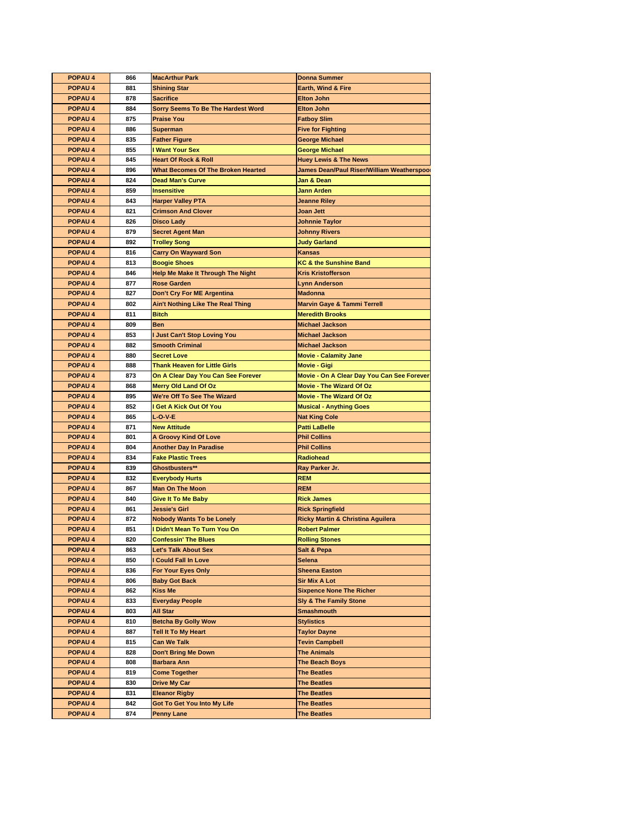| <b>POPAU 4</b>     | 866 | <b>MacArthur Park</b>                     | <b>Donna Summer</b>                                            |
|--------------------|-----|-------------------------------------------|----------------------------------------------------------------|
| POPAU <sub>4</sub> | 881 | <b>Shining Star</b>                       | <b>Earth, Wind &amp; Fire</b>                                  |
| <b>POPAU4</b>      | 878 | <b>Sacrifice</b>                          | <b>Elton John</b>                                              |
| POPAU <sub>4</sub> | 884 | <b>Sorry Seems To Be The Hardest Word</b> | <b>Elton John</b>                                              |
| POPAU <sub>4</sub> | 875 | <b>Praise You</b>                         | <b>Fatboy Slim</b>                                             |
| POPAU <sub>4</sub> | 886 | <b>Superman</b>                           | <b>Five for Fighting</b>                                       |
| POPAU <sub>4</sub> | 835 | <b>Father Figure</b>                      | <b>George Michael</b>                                          |
| POPAU <sub>4</sub> | 855 | <b>I Want Your Sex</b>                    | <b>George Michael</b>                                          |
| POPAU 4            | 845 | <b>Heart Of Rock &amp; Roll</b>           | <b>Huey Lewis &amp; The News</b>                               |
| POPAU <sub>4</sub> | 896 | What Becomes Of The Broken Hearted        | James Dean/Paul Riser/William Weatherspool                     |
| POPAU <sub>4</sub> | 824 | <b>Dead Man's Curve</b>                   | Jan & Dean                                                     |
| POPAU <sub>4</sub> | 859 | <b>Insensitive</b>                        | <b>Jann Arden</b>                                              |
| POPAU <sub>4</sub> | 843 | <b>Harper Valley PTA</b>                  | <b>Jeanne Rilev</b>                                            |
| POPAU <sub>4</sub> | 821 | <b>Crimson And Clover</b>                 | <b>Joan Jett</b>                                               |
| POPAU <sub>4</sub> | 826 | <b>Disco Lady</b>                         | <b>Johnnie Taylor</b>                                          |
| <b>POPAU4</b>      | 879 | <b>Secret Agent Man</b>                   | Johnny Rivers                                                  |
| POPAU <sub>4</sub> |     |                                           |                                                                |
|                    | 892 | <b>Trolley Song</b>                       | <b>Judy Garland</b>                                            |
| POPAU <sub>4</sub> | 816 | <b>Carry On Wayward Son</b>               | <b>Kansas</b>                                                  |
| POPAU <sub>4</sub> | 813 | <b>Boogie Shoes</b>                       | <b>KC &amp; the Sunshine Band</b><br><b>Kris Kristofferson</b> |
| POPAU <sub>4</sub> | 846 | <b>Help Me Make It Through The Night</b>  |                                                                |
| POPAU 4            | 877 | <b>Rose Garden</b>                        | <b>Lynn Anderson</b>                                           |
| <b>POPAU4</b>      | 827 | Don't Cry For ME Argentina                | <b>Madonna</b>                                                 |
| POPAU <sub>4</sub> | 802 | Ain't Nothing Like The Real Thing         | <b>Marvin Gaye &amp; Tammi Terrell</b>                         |
| <b>POPAU4</b>      | 811 | <b>Bitch</b>                              | <b>Meredith Brooks</b>                                         |
| POPAU <sub>4</sub> | 809 | <b>Ben</b>                                | <b>Michael Jackson</b>                                         |
| POPAU <sub>4</sub> | 853 | <b>Just Can't Stop Loving You</b>         | <b>Michael Jackson</b>                                         |
| <b>POPAU4</b>      | 882 | <b>Smooth Criminal</b>                    | <b>Michael Jackson</b>                                         |
| POPAU <sub>4</sub> | 880 | <b>Secret Love</b>                        | <b>Movie - Calamity Jane</b>                                   |
| POPAU <sub>4</sub> | 888 | <b>Thank Heaven for Little Girls</b>      | Movie - Gigi                                                   |
| <b>POPAU4</b>      | 873 | On A Clear Day You Can See Forever        | Movie - On A Clear Day You Can See Forever                     |
| POPAU <sub>4</sub> | 868 | <b>Merry Old Land Of Oz</b>               | <b>Movie - The Wizard Of Oz</b>                                |
| POPAU <sub>4</sub> | 895 | We're Off To See The Wizard               | <b>Movie - The Wizard Of Oz</b>                                |
| POPAU 4            | 852 | I Get A Kick Out Of You                   | <b>Musical - Anything Goes</b>                                 |
| POPAU <sub>4</sub> | 865 | <b>L-O-V-E</b>                            | <b>Nat King Cole</b>                                           |
| <b>POPAU4</b>      | 871 | <b>New Attitude</b>                       | <b>Patti LaBelle</b>                                           |
| POPAU <sub>4</sub> | 801 | <b>A Groovy Kind Of Love</b>              | <b>Phil Collins</b>                                            |
| POPAU <sub>4</sub> | 804 | Another Day In Paradise                   | <b>Phil Collins</b>                                            |
| <b>POPAU4</b>      | 834 | <b>Fake Plastic Trees</b>                 | <b>Radiohead</b>                                               |
| POPAU <sub>4</sub> | 839 | Ghostbusters**                            | Ray Parker Jr.                                                 |
| <b>POPAU4</b>      | 832 | Everybody Hurts                           | <b>REM</b>                                                     |
| POPAU <sub>4</sub> | 867 | <b>Man On The Moon</b>                    | <b>REM</b>                                                     |
| POPAU <sub>4</sub> | 840 | <b>Give It To Me Baby</b>                 | <b>Rick James</b>                                              |
| <b>POPAU4</b>      | 861 | Jessie's Girl                             | <b>Rick Springfield</b>                                        |
| POPAU <sub>4</sub> | 872 | <b>Nobody Wants To be Lonely</b>          | <b>Ricky Martin &amp; Christina Aguilera</b>                   |
| <b>POPAU4</b>      | 851 | I Didn't Mean To Turn You On              | <b>Robert Palmer</b>                                           |
| <b>POPAU 4</b>     | 820 | <b>Confessin' The Blues</b>               | <b>Rolling Stones</b>                                          |
| POPAU 4            | 863 | <b>Let's Talk About Sex</b>               | Salt & Pepa                                                    |
| <b>POPAU 4</b>     | 850 | I Could Fall In Love                      | Selena                                                         |
| POPAU 4            | 836 | For Your Eyes Only                        | <b>Sheena Easton</b>                                           |
| <b>POPAU 4</b>     | 806 | <b>Baby Got Back</b>                      | Sir Mix A Lot                                                  |
| <b>POPAU 4</b>     | 862 | Kiss Me                                   | <b>Sixpence None The Richer</b>                                |
| POPAU 4            | 833 | <b>Everyday People</b>                    | <b>Sly &amp; The Family Stone</b>                              |
| <b>POPAU 4</b>     | 803 | All Star                                  | <b>Smashmouth</b>                                              |
| <b>POPAU 4</b>     | 810 | <b>Betcha By Golly Wow</b>                | <b>Stylistics</b>                                              |
| POPAU <sub>4</sub> | 887 | <b>Tell It To My Heart</b>                | <b>Taylor Dayne</b>                                            |
| <b>POPAU 4</b>     | 815 | Can We Talk                               | <b>Tevin Campbell</b>                                          |
| <b>POPAU 4</b>     | 828 | <b>Don't Bring Me Down</b>                | <b>The Animals</b>                                             |
| POPAU 4            | 808 | Barbara Ann                               | The Beach Boys                                                 |
| <b>POPAU 4</b>     | 819 | <b>Come Together</b>                      | <b>The Beatles</b>                                             |
| <b>POPAU 4</b>     | 830 | Drive My Car                              | <b>The Beatles</b>                                             |
| POPAU 4            | 831 | <b>Eleanor Rigby</b>                      | <b>The Beatles</b>                                             |
| <b>POPAU 4</b>     | 842 | Got To Get You Into My Life               | <b>The Beatles</b>                                             |
| POPAU 4            | 874 | <b>Penny Lane</b>                         | <b>The Beatles</b>                                             |
|                    |     |                                           |                                                                |